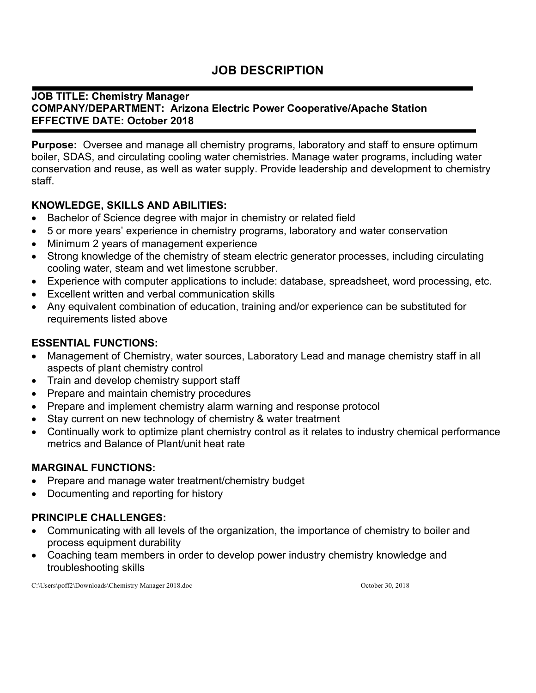# **JOB DESCRIPTION**

#### **JOB TITLE: Chemistry Manager COMPANY/DEPARTMENT: Arizona Electric Power Cooperative/Apache Station EFFECTIVE DATE: October 2018**

**Purpose:** Oversee and manage all chemistry programs, laboratory and staff to ensure optimum boiler, SDAS, and circulating cooling water chemistries. Manage water programs, including water conservation and reuse, as well as water supply. Provide leadership and development to chemistry staff.

# **KNOWLEDGE, SKILLS AND ABILITIES:**

- Bachelor of Science degree with major in chemistry or related field
- 5 or more years' experience in chemistry programs, laboratory and water conservation
- Minimum 2 years of management experience
- Strong knowledge of the chemistry of steam electric generator processes, including circulating cooling water, steam and wet limestone scrubber.
- Experience with computer applications to include: database, spreadsheet, word processing, etc.
- Excellent written and verbal communication skills
- Any equivalent combination of education, training and/or experience can be substituted for requirements listed above

# **ESSENTIAL FUNCTIONS:**

- Management of Chemistry, water sources, Laboratory Lead and manage chemistry staff in all aspects of plant chemistry control
- Train and develop chemistry support staff
- Prepare and maintain chemistry procedures
- Prepare and implement chemistry alarm warning and response protocol
- Stay current on new technology of chemistry & water treatment
- Continually work to optimize plant chemistry control as it relates to industry chemical performance metrics and Balance of Plant/unit heat rate

### **MARGINAL FUNCTIONS:**

- Prepare and manage water treatment/chemistry budget
- Documenting and reporting for history

### **PRINCIPLE CHALLENGES:**

- Communicating with all levels of the organization, the importance of chemistry to boiler and process equipment durability
- Coaching team members in order to develop power industry chemistry knowledge and troubleshooting skills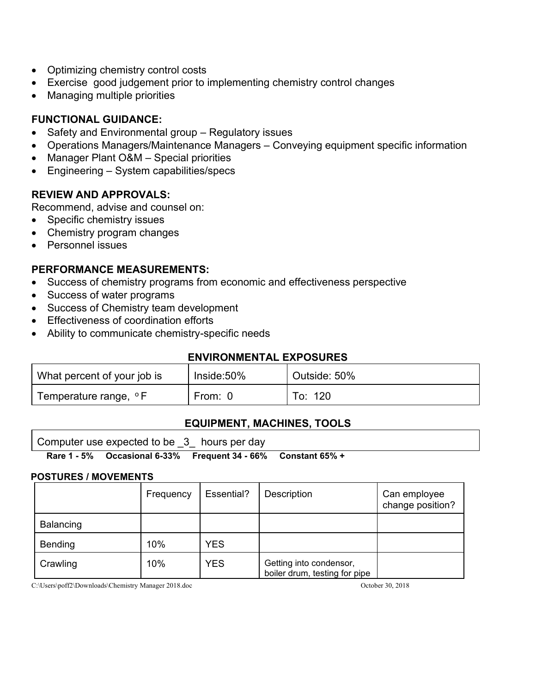- Optimizing chemistry control costs
- Exercise good judgement prior to implementing chemistry control changes
- Managing multiple priorities

# **FUNCTIONAL GUIDANCE:**

- Safety and Environmental group Regulatory issues
- Operations Managers/Maintenance Managers Conveying equipment specific information
- Manager Plant O&M Special priorities
- Engineering System capabilities/specs

### **REVIEW AND APPROVALS:**

Recommend, advise and counsel on:

- Specific chemistry issues
- Chemistry program changes
- Personnel issues

### **PERFORMANCE MEASUREMENTS:**

- Success of chemistry programs from economic and effectiveness perspective
- Success of water programs
- Success of Chemistry team development
- Effectiveness of coordination efforts
- Ability to communicate chemistry-specific needs

### **ENVIRONMENTAL EXPOSURES**

| What percent of your job is | $Inside:50\%$ | Outside: 50% |
|-----------------------------|---------------|--------------|
| Temperature range, °F       | From: '       | To: 120      |

### **EQUIPMENT, MACHINES, TOOLS**

**Rare 1 - 5% Occasional 6-33% Frequent 34 - 66% Constant 65% +**

#### **POSTURES / MOVEMENTS**

|                | Frequency | Essential? | Description                                              | Can employee<br>change position? |
|----------------|-----------|------------|----------------------------------------------------------|----------------------------------|
| Balancing      |           |            |                                                          |                                  |
| <b>Bending</b> | 10%       | <b>YES</b> |                                                          |                                  |
| Crawling       | 10%       | <b>YES</b> | Getting into condensor,<br>boiler drum, testing for pipe |                                  |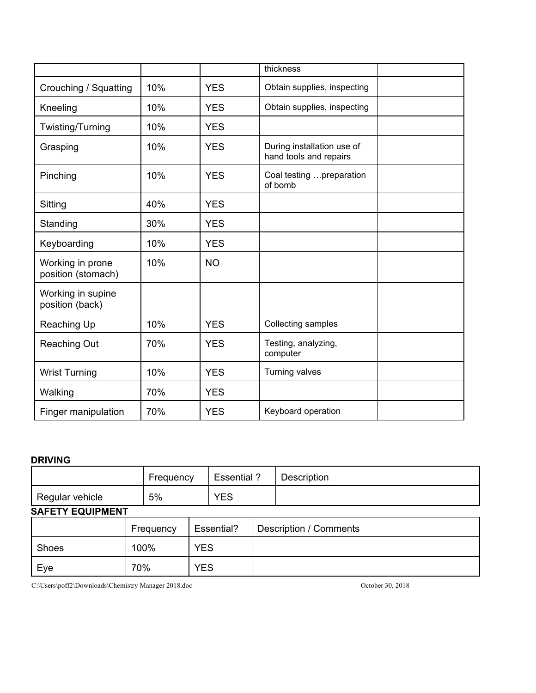|                                        |     |            | thickness                                            |  |
|----------------------------------------|-----|------------|------------------------------------------------------|--|
| Crouching / Squatting                  | 10% | <b>YES</b> | Obtain supplies, inspecting                          |  |
| Kneeling                               | 10% | <b>YES</b> | Obtain supplies, inspecting                          |  |
| Twisting/Turning                       | 10% | <b>YES</b> |                                                      |  |
| Grasping                               | 10% | <b>YES</b> | During installation use of<br>hand tools and repairs |  |
| Pinching                               | 10% | <b>YES</b> | Coal testing  preparation<br>of bomb                 |  |
| Sitting                                | 40% | <b>YES</b> |                                                      |  |
| Standing                               | 30% | <b>YES</b> |                                                      |  |
| Keyboarding                            | 10% | <b>YES</b> |                                                      |  |
| Working in prone<br>position (stomach) | 10% | <b>NO</b>  |                                                      |  |
| Working in supine<br>position (back)   |     |            |                                                      |  |
| Reaching Up                            | 10% | <b>YES</b> | Collecting samples                                   |  |
| <b>Reaching Out</b>                    | 70% | <b>YES</b> | Testing, analyzing,<br>computer                      |  |
| <b>Wrist Turning</b>                   | 10% | <b>YES</b> | Turning valves                                       |  |
| Walking                                | 70% | <b>YES</b> |                                                      |  |
| Finger manipulation                    | 70% | <b>YES</b> | Keyboard operation                                   |  |

#### **DRIVING**

|                         |     | Frequency          |  | Essential? |  | Description                   |
|-------------------------|-----|--------------------|--|------------|--|-------------------------------|
| Regular vehicle         |     | 5%                 |  | <b>YES</b> |  |                               |
| <b>SAFETY EQUIPMENT</b> |     |                    |  |            |  |                               |
|                         |     | Frequency          |  | Essential? |  | <b>Description / Comments</b> |
| Shoes                   |     | <b>YES</b><br>100% |  |            |  |                               |
| Eye                     | 70% | <b>YES</b>         |  |            |  |                               |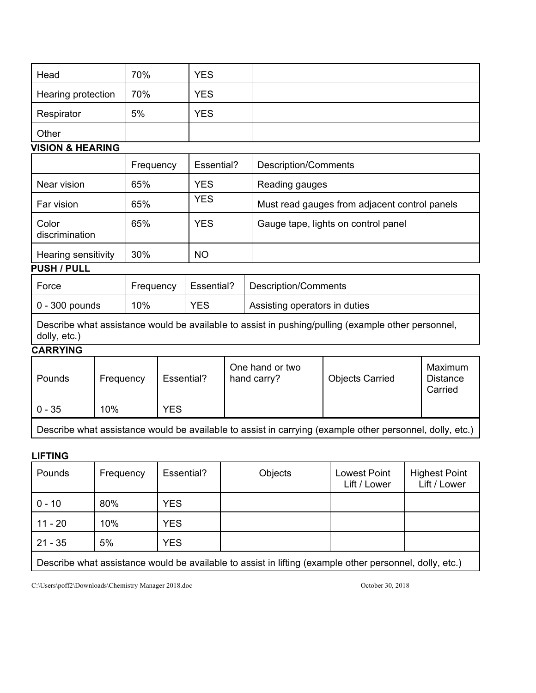| Head               | 70% | <b>YES</b> |  |
|--------------------|-----|------------|--|
| Hearing protection | 70% | <b>YES</b> |  |
| Respirator         | 5%  | <b>YES</b> |  |
| Other              |     |            |  |

#### **VISION & HEARING**

|                                          | Frequency | Essential? | <b>Description/Comments</b>                   |
|------------------------------------------|-----------|------------|-----------------------------------------------|
| Near vision                              | 65%       | <b>YES</b> | Reading gauges                                |
| Far vision                               | 65%       | <b>YES</b> | Must read gauges from adjacent control panels |
| Color<br>discrimination                  | 65%       | <b>YES</b> | Gauge tape, lights on control panel           |
| Hearing sensitivity<br><b>BUALLIBULL</b> | 30%       | <b>NO</b>  |                                               |

#### **PUSH / PULL**

| Force                  | Frequency | Essential? | Description/Comments          |
|------------------------|-----------|------------|-------------------------------|
| $\vert$ 0 - 300 pounds | 10%       | YES        | Assisting operators in duties |

Describe what assistance would be available to assist in pushing/pulling (example other personnel, dolly, etc.)

# **CARRYING**

| Pounds                                                                                                   | Frequency | Essential? | One hand or two<br>hand carry? | <b>Objects Carried</b> | Maximum<br><b>Distance</b><br>Carried |
|----------------------------------------------------------------------------------------------------------|-----------|------------|--------------------------------|------------------------|---------------------------------------|
| 0 - 35                                                                                                   | 10%       | YES        |                                |                        |                                       |
| Describe what assistance would be available to assist in carrying (example other personnel, dolly, etc.) |           |            |                                |                        |                                       |

#### **LIFTING**

| Pounds                                                                                                  | Frequency | Essential? | Objects | <b>Lowest Point</b><br>Lift / Lower | <b>Highest Point</b><br>Lift / Lower |
|---------------------------------------------------------------------------------------------------------|-----------|------------|---------|-------------------------------------|--------------------------------------|
| $0 - 10$                                                                                                | 80%       | <b>YES</b> |         |                                     |                                      |
| $11 - 20$                                                                                               | 10%       | <b>YES</b> |         |                                     |                                      |
| $21 - 35$                                                                                               | 5%        | <b>YES</b> |         |                                     |                                      |
| Describe what assistance would be available to assist in lifting (example other personnel, dolly, etc.) |           |            |         |                                     |                                      |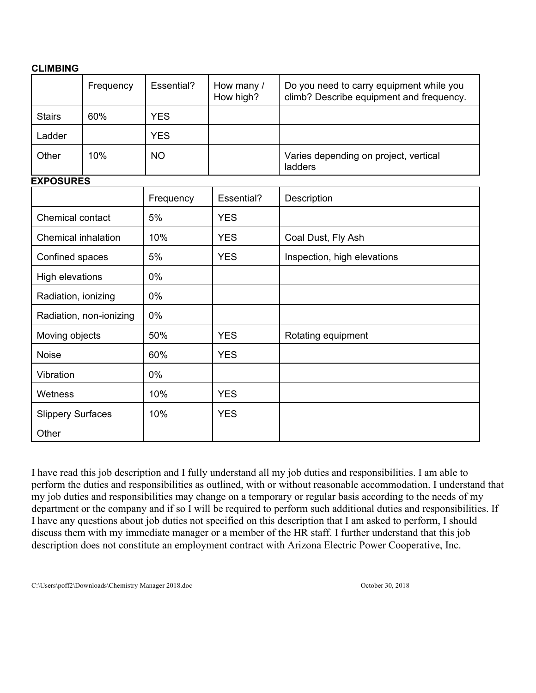#### **CLIMBING**

|                            | Frequency               | Essential? | How many /<br>How high? | Do you need to carry equipment while you<br>climb? Describe equipment and frequency. |
|----------------------------|-------------------------|------------|-------------------------|--------------------------------------------------------------------------------------|
| <b>Stairs</b>              | 60%                     | <b>YES</b> |                         |                                                                                      |
| Ladder                     |                         | <b>YES</b> |                         |                                                                                      |
| Other                      | 10%                     | <b>NO</b>  |                         | Varies depending on project, vertical<br>ladders                                     |
| <b>EXPOSURES</b>           |                         |            |                         |                                                                                      |
|                            |                         | Frequency  | Essential?              | Description                                                                          |
| <b>Chemical contact</b>    |                         | 5%         | <b>YES</b>              |                                                                                      |
| <b>Chemical inhalation</b> |                         | 10%        | <b>YES</b>              | Coal Dust, Fly Ash                                                                   |
|                            | Confined spaces         |            | <b>YES</b>              | Inspection, high elevations                                                          |
| High elevations            |                         | 0%         |                         |                                                                                      |
| Radiation, ionizing        |                         | 0%         |                         |                                                                                      |
|                            | Radiation, non-ionizing | 0%         |                         |                                                                                      |
| Moving objects             |                         | 50%        | <b>YES</b>              | Rotating equipment                                                                   |
| <b>Noise</b>               |                         | 60%        | <b>YES</b>              |                                                                                      |
| Vibration                  |                         | 0%         |                         |                                                                                      |
| Wetness                    |                         | 10%        | <b>YES</b>              |                                                                                      |
| <b>Slippery Surfaces</b>   |                         | 10%        | <b>YES</b>              |                                                                                      |
| Other                      |                         |            |                         |                                                                                      |

I have read this job description and I fully understand all my job duties and responsibilities. I am able to perform the duties and responsibilities as outlined, with or without reasonable accommodation. I understand that my job duties and responsibilities may change on a temporary or regular basis according to the needs of my department or the company and if so I will be required to perform such additional duties and responsibilities. If I have any questions about job duties not specified on this description that I am asked to perform, I should discuss them with my immediate manager or a member of the HR staff. I further understand that this job description does not constitute an employment contract with Arizona Electric Power Cooperative, Inc.